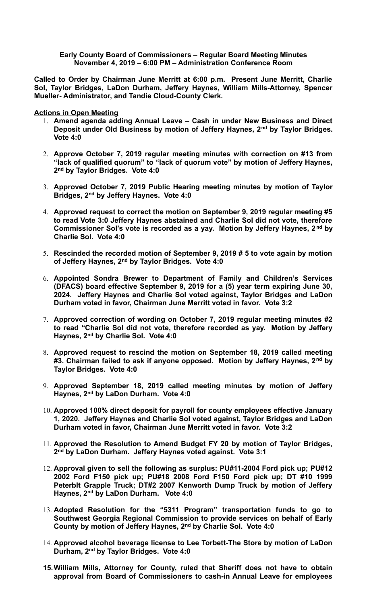## **Early County Board of Commissioners – Regular Board Meeting Minutes November 4, 2019 – 6:00 PM – Administration Conference Room**

**Called to Order by Chairman June Merritt at 6:00 p.m. Present June Merritt, Charlie Sol, Taylor Bridges, LaDon Durham, Jeffery Haynes, William Mills-Attorney, Spencer Mueller- Administrator, and Tandie Cloud-County Clerk.** 

**Actions in Open Meeting**

- 1. **Amend agenda adding Annual Leave Cash in under New Business and Direct Deposit under Old Business by motion of Jeffery Haynes, 2nd by Taylor Bridges. Vote 4:0**
- 2. **Approve October 7, 2019 regular meeting minutes with correction on #13 from "lack of qualified quorum" to "lack of quorum vote" by motion of Jeffery Haynes, 2 nd by Taylor Bridges. Vote 4:0**
- 3. **Approved October 7, 2019 Public Hearing meeting minutes by motion of Taylor Bridges, 2nd by Jeffery Haynes. Vote 4:0**
- 4. **Approved request to correct the motion on September 9, 2019 regular meeting #5 to read Vote 3:0 Jeffery Haynes abstained and Charlie Sol did not vote, therefore Commissioner Sol's vote is recorded as a yay. Motion by Jeffery Haynes, 2 nd by Charlie Sol. Vote 4:0**
- 5. **Rescinded the recorded motion of September 9, 2019 # 5 to vote again by motion of Jeffery Haynes, 2nd by Taylor Bridges. Vote 4:0**
- 6. **Appointed Sondra Brewer to Department of Family and Children's Services (DFACS) board effective September 9, 2019 for a (5) year term expiring June 30, 2024. Jeffery Haynes and Charlie Sol voted against, Taylor Bridges and LaDon Durham voted in favor, Chairman June Merritt voted in favor. Vote 3:2**
- 7. **Approved correction of wording on October 7, 2019 regular meeting minutes #2 to read "Charlie Sol did not vote, therefore recorded as yay. Motion by Jeffery Haynes, 2nd by Charlie Sol. Vote 4:0**
- 8. **Approved request to rescind the motion on September 18, 2019 called meeting #3. Chairman failed to ask if anyone opposed. Motion by Jeffery Haynes, 2nd by Taylor Bridges. Vote 4:0**
- 9. **Approved September 18, 2019 called meeting minutes by motion of Jeffery Haynes, 2nd by LaDon Durham. Vote 4:0**
- 10. **Approved 100% direct deposit for payroll for county employees effective January 1, 2020. Jeffery Haynes and Charlie Sol voted against, Taylor Bridges and LaDon Durham voted in favor, Chairman June Merritt voted in favor. Vote 3:2**
- 11. **Approved the Resolution to Amend Budget FY 20 by motion of Taylor Bridges, 2 nd by LaDon Durham. Jeffery Haynes voted against. Vote 3:1**
- 12. **Approval given to sell the following as surplus: PU#11-2004 Ford pick up; PU#12 2002 Ford F150 pick up; PU#18 2008 Ford F150 Ford pick up; DT #10 1999 Peterblt Grapple Truck; DT#2 2007 Kenworth Dump Truck by motion of Jeffery Haynes, 2nd by LaDon Durham. Vote 4:0**
- 13. **Adopted Resolution for the "5311 Program" transportation funds to go to Southwest Georgia Regional Commission to provide services on behalf of Early County by motion of Jeffery Haynes, 2nd by Charlie Sol. Vote 4:0**
- 14. **Approved alcohol beverage license to Lee Torbett-The Store by motion of LaDon Durham, 2nd by Taylor Bridges. Vote 4:0**
- **15.William Mills, Attorney for County, ruled that Sheriff does not have to obtain approval from Board of Commissioners to cash-in Annual Leave for employees**